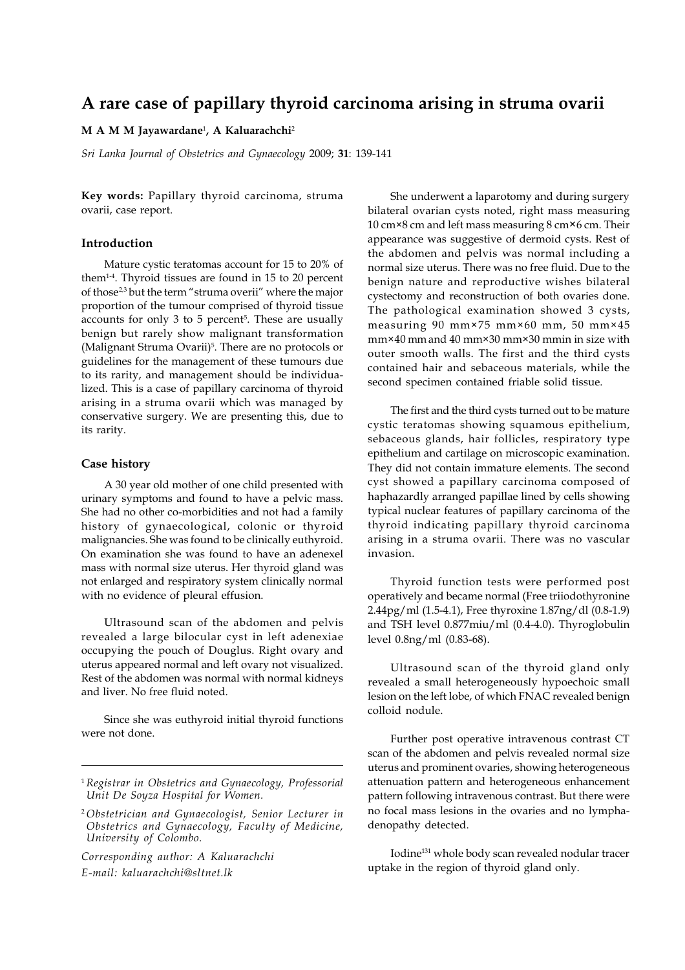# **A rare case of papillary thyroid carcinoma arising in struma ovarii**

#### **M A M M Jayawardane**<sup>1</sup> **, A Kaluarachchi**<sup>2</sup>

*Sri Lanka Journal of Obstetrics and Gynaecology* 2009; **31**: 139-141

**Key words:** Papillary thyroid carcinoma, struma ovarii, case report.

## **Introduction**

Mature cystic teratomas account for 15 to 20% of them1-4. Thyroid tissues are found in 15 to 20 percent of those2,3 but the term "struma overii" where the major proportion of the tumour comprised of thyroid tissue accounts for only 3 to 5 percent<sup>5</sup>. These are usually benign but rarely show malignant transformation (Malignant Struma Ovarii)<sup>5</sup>. There are no protocols or guidelines for the management of these tumours due to its rarity, and management should be individualized. This is a case of papillary carcinoma of thyroid arising in a struma ovarii which was managed by conservative surgery. We are presenting this, due to its rarity.

#### **Case history**

A 30 year old mother of one child presented with urinary symptoms and found to have a pelvic mass. She had no other co-morbidities and not had a family history of gynaecological, colonic or thyroid malignancies. She was found to be clinically euthyroid. On examination she was found to have an adenexel mass with normal size uterus. Her thyroid gland was not enlarged and respiratory system clinically normal with no evidence of pleural effusion.

Ultrasound scan of the abdomen and pelvis revealed a large bilocular cyst in left adenexiae occupying the pouch of Douglus. Right ovary and uterus appeared normal and left ovary not visualized. Rest of the abdomen was normal with normal kidneys and liver. No free fluid noted.

Since she was euthyroid initial thyroid functions were not done.

*Corresponding author: A Kaluarachchi E-mail: kaluarachchi@sltnet.lk*

She underwent a laparotomy and during surgery bilateral ovarian cysts noted, right mass measuring 10 cm×8 cm and left mass measuring 8 cm×6 cm. Their appearance was suggestive of dermoid cysts. Rest of the abdomen and pelvis was normal including a normal size uterus. There was no free fluid. Due to the benign nature and reproductive wishes bilateral cystectomy and reconstruction of both ovaries done. The pathological examination showed 3 cysts, measuring 90 mm×75 mm×60 mm, 50 mm×45 mm×40 mm and 40 mm×30 mm×30 mmin in size with outer smooth walls. The first and the third cysts contained hair and sebaceous materials, while the second specimen contained friable solid tissue.

The first and the third cysts turned out to be mature cystic teratomas showing squamous epithelium, sebaceous glands, hair follicles, respiratory type epithelium and cartilage on microscopic examination. They did not contain immature elements. The second cyst showed a papillary carcinoma composed of haphazardly arranged papillae lined by cells showing typical nuclear features of papillary carcinoma of the thyroid indicating papillary thyroid carcinoma arising in a struma ovarii. There was no vascular invasion.

Thyroid function tests were performed post operatively and became normal (Free triiodothyronine 2.44pg/ml (1.5-4.1), Free thyroxine 1.87ng/dl (0.8-1.9) and TSH level 0.877miu/ml (0.4-4.0). Thyroglobulin level 0.8ng/ml (0.83-68).

Ultrasound scan of the thyroid gland only revealed a small heterogeneously hypoechoic small lesion on the left lobe, of which FNAC revealed benign colloid nodule.

Further post operative intravenous contrast CT scan of the abdomen and pelvis revealed normal size uterus and prominent ovaries, showing heterogeneous attenuation pattern and heterogeneous enhancement pattern following intravenous contrast. But there were no focal mass lesions in the ovaries and no lymphadenopathy detected.

Iodine131 whole body scan revealed nodular tracer uptake in the region of thyroid gland only.

<sup>1</sup>*Registrar in Obstetrics and Gynaecology, Professorial Unit De Soyza Hospital for Women.*

<sup>2</sup> *Obstetrician and Gynaecologist, Senior Lecturer in Obstetrics and Gynaecology, Faculty of Medicine, University of Colombo.*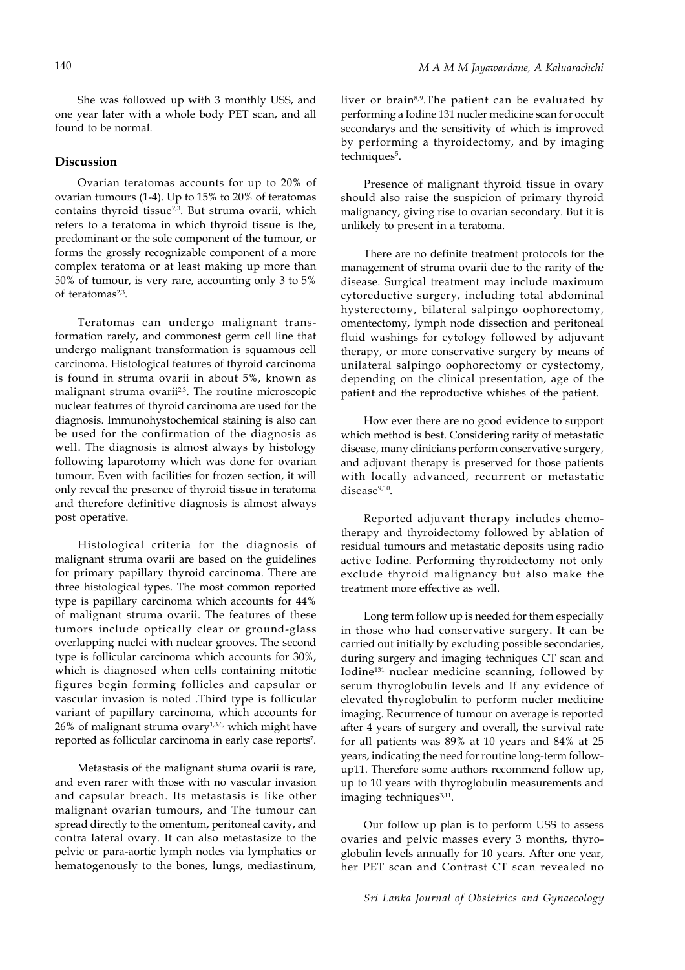She was followed up with 3 monthly USS, and one year later with a whole body PET scan, and all found to be normal.

## **Discussion**

Ovarian teratomas accounts for up to 20% of ovarian tumours (1-4). Up to 15% to 20% of teratomas contains thyroid tissue<sup>2,3</sup>. But struma ovarii, which refers to a teratoma in which thyroid tissue is the, predominant or the sole component of the tumour, or forms the grossly recognizable component of a more complex teratoma or at least making up more than 50% of tumour, is very rare, accounting only 3 to 5% of teratomas<sup>2,3</sup>.

Teratomas can undergo malignant transformation rarely, and commonest germ cell line that undergo malignant transformation is squamous cell carcinoma. Histological features of thyroid carcinoma is found in struma ovarii in about 5%, known as malignant struma ovarii<sup>2,3</sup>. The routine microscopic nuclear features of thyroid carcinoma are used for the diagnosis. Immunohystochemical staining is also can be used for the confirmation of the diagnosis as well. The diagnosis is almost always by histology following laparotomy which was done for ovarian tumour. Even with facilities for frozen section, it will only reveal the presence of thyroid tissue in teratoma and therefore definitive diagnosis is almost always post operative.

Histological criteria for the diagnosis of malignant struma ovarii are based on the guidelines for primary papillary thyroid carcinoma. There are three histological types. The most common reported type is papillary carcinoma which accounts for 44% of malignant struma ovarii. The features of these tumors include optically clear or ground-glass overlapping nuclei with nuclear grooves. The second type is follicular carcinoma which accounts for 30%, which is diagnosed when cells containing mitotic figures begin forming follicles and capsular or vascular invasion is noted .Third type is follicular variant of papillary carcinoma, which accounts for  $26%$  of malignant struma ovary<sup>1,3,6,</sup> which might have reported as follicular carcinoma in early case reports7 .

Metastasis of the malignant stuma ovarii is rare, and even rarer with those with no vascular invasion and capsular breach. Its metastasis is like other malignant ovarian tumours, and The tumour can spread directly to the omentum, peritoneal cavity, and contra lateral ovary. It can also metastasize to the pelvic or para-aortic lymph nodes via lymphatics or hematogenously to the bones, lungs, mediastinum,

liver or brain<sup>8,9</sup>.The patient can be evaluated by performing a Iodine 131 nucler medicine scan for occult secondarys and the sensitivity of which is improved by performing a thyroidectomy, and by imaging techniques<sup>5</sup>.

Presence of malignant thyroid tissue in ovary should also raise the suspicion of primary thyroid malignancy, giving rise to ovarian secondary. But it is unlikely to present in a teratoma.

There are no definite treatment protocols for the management of struma ovarii due to the rarity of the disease. Surgical treatment may include maximum cytoreductive surgery, including total abdominal hysterectomy, bilateral salpingo oophorectomy, omentectomy, lymph node dissection and peritoneal fluid washings for cytology followed by adjuvant therapy, or more conservative surgery by means of unilateral salpingo oophorectomy or cystectomy, depending on the clinical presentation, age of the patient and the reproductive whishes of the patient.

How ever there are no good evidence to support which method is best. Considering rarity of metastatic disease, many clinicians perform conservative surgery, and adjuvant therapy is preserved for those patients with locally advanced, recurrent or metastatic  $disease<sup>9,10</sup>$ .

Reported adjuvant therapy includes chemotherapy and thyroidectomy followed by ablation of residual tumours and metastatic deposits using radio active Iodine. Performing thyroidectomy not only exclude thyroid malignancy but also make the treatment more effective as well.

Long term follow up is needed for them especially in those who had conservative surgery. It can be carried out initially by excluding possible secondaries, during surgery and imaging techniques CT scan and Iodine131 nuclear medicine scanning, followed by serum thyroglobulin levels and If any evidence of elevated thyroglobulin to perform nucler medicine imaging. Recurrence of tumour on average is reported after 4 years of surgery and overall, the survival rate for all patients was 89% at 10 years and 84% at 25 years, indicating the need for routine long-term followup11. Therefore some authors recommend follow up, up to 10 years with thyroglobulin measurements and imaging techniques<sup>3,11</sup>.

Our follow up plan is to perform USS to assess ovaries and pelvic masses every 3 months, thyroglobulin levels annually for 10 years. After one year, her PET scan and Contrast CT scan revealed no